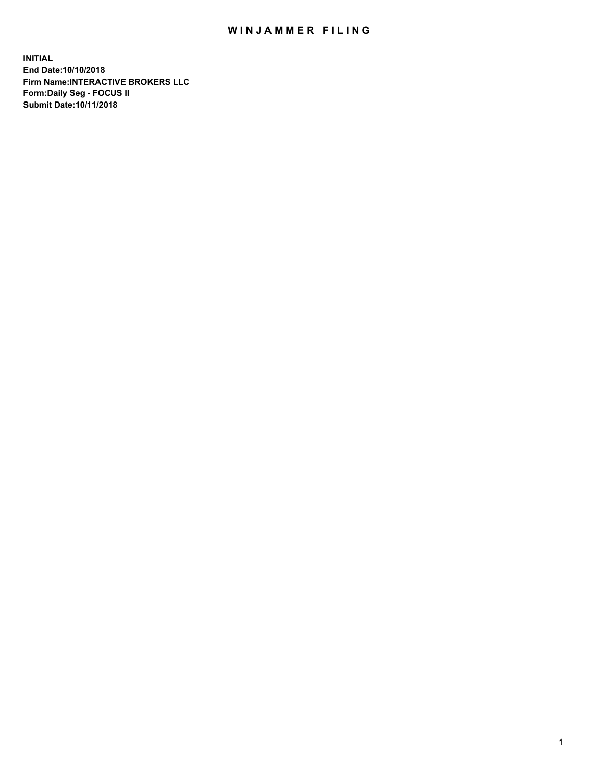## WIN JAMMER FILING

**INITIAL End Date:10/10/2018 Firm Name:INTERACTIVE BROKERS LLC Form:Daily Seg - FOCUS II Submit Date:10/11/2018**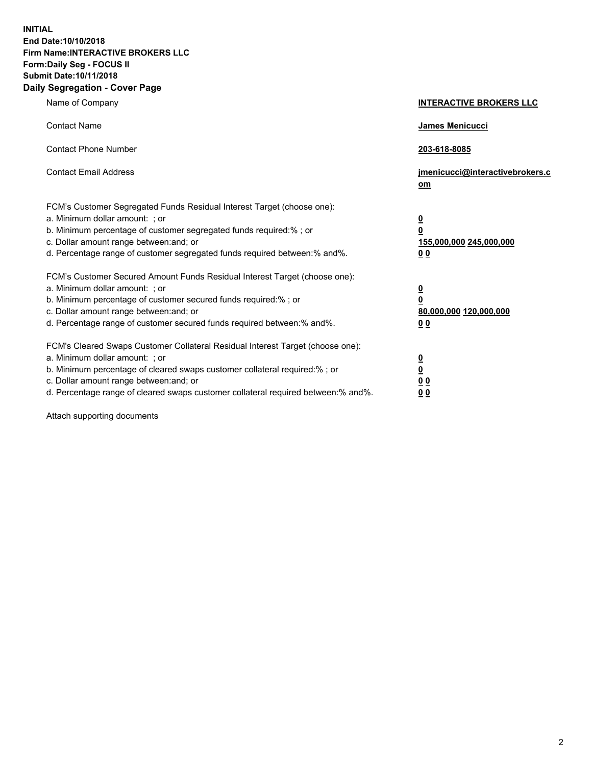**INITIAL End Date:10/10/2018 Firm Name:INTERACTIVE BROKERS LLC Form:Daily Seg - FOCUS II Submit Date:10/11/2018 Daily Segregation - Cover Page**

| Name of Company                                                                                                                                                                                                                                                                                                                | <b>INTERACTIVE BROKERS LLC</b>                                                                  |
|--------------------------------------------------------------------------------------------------------------------------------------------------------------------------------------------------------------------------------------------------------------------------------------------------------------------------------|-------------------------------------------------------------------------------------------------|
| <b>Contact Name</b>                                                                                                                                                                                                                                                                                                            | James Menicucci                                                                                 |
| <b>Contact Phone Number</b>                                                                                                                                                                                                                                                                                                    | 203-618-8085                                                                                    |
| <b>Contact Email Address</b>                                                                                                                                                                                                                                                                                                   | jmenicucci@interactivebrokers.c<br>om                                                           |
| FCM's Customer Segregated Funds Residual Interest Target (choose one):<br>a. Minimum dollar amount: ; or<br>b. Minimum percentage of customer segregated funds required:% ; or<br>c. Dollar amount range between: and; or<br>d. Percentage range of customer segregated funds required between:% and%.                         | $\overline{\mathbf{0}}$<br>$\overline{\mathbf{0}}$<br>155,000,000 245,000,000<br>0 <sub>0</sub> |
| FCM's Customer Secured Amount Funds Residual Interest Target (choose one):<br>a. Minimum dollar amount: ; or<br>b. Minimum percentage of customer secured funds required:%; or<br>c. Dollar amount range between: and; or<br>d. Percentage range of customer secured funds required between:% and%.                            | $\overline{\mathbf{0}}$<br>$\overline{\mathbf{0}}$<br>80,000,000 120,000,000<br>00              |
| FCM's Cleared Swaps Customer Collateral Residual Interest Target (choose one):<br>a. Minimum dollar amount: ; or<br>b. Minimum percentage of cleared swaps customer collateral required:% ; or<br>c. Dollar amount range between: and; or<br>d. Percentage range of cleared swaps customer collateral required between:% and%. | $\overline{\mathbf{0}}$<br>$\underline{\mathbf{0}}$<br>0 <sub>0</sub><br>0 <sub>0</sub>         |

Attach supporting documents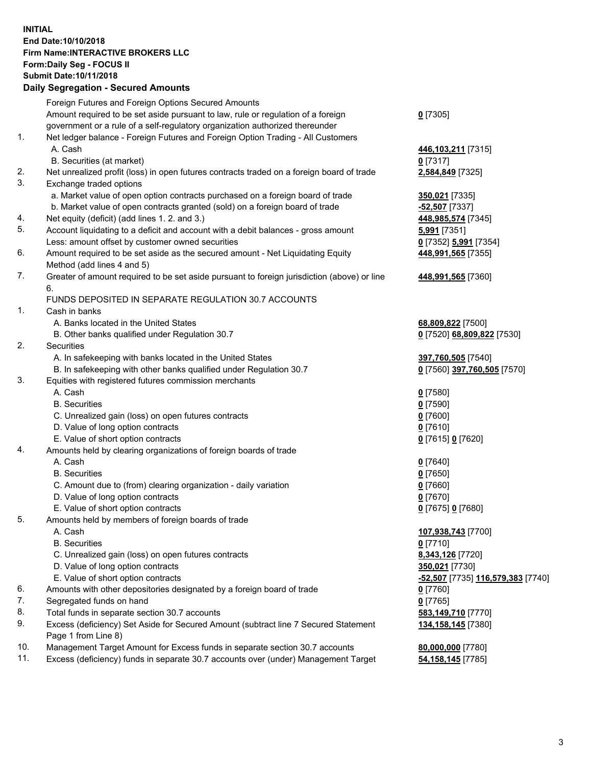## **INITIAL End Date:10/10/2018 Firm Name:INTERACTIVE BROKERS LLC Form:Daily Seg - FOCUS II Submit Date:10/11/2018**

|     | <b>Daily Segregation - Secured Amounts</b>                                                  |                                                |
|-----|---------------------------------------------------------------------------------------------|------------------------------------------------|
|     | Foreign Futures and Foreign Options Secured Amounts                                         |                                                |
|     | Amount required to be set aside pursuant to law, rule or regulation of a foreign            | $0$ [7305]                                     |
|     | government or a rule of a self-regulatory organization authorized thereunder                |                                                |
| 1.  | Net ledger balance - Foreign Futures and Foreign Option Trading - All Customers             |                                                |
|     | A. Cash                                                                                     | 446,103,211 [7315]                             |
|     | B. Securities (at market)                                                                   | $0$ [7317]                                     |
| 2.  | Net unrealized profit (loss) in open futures contracts traded on a foreign board of trade   | 2,584,849 [7325]                               |
| 3.  | Exchange traded options                                                                     |                                                |
|     | a. Market value of open option contracts purchased on a foreign board of trade              | 350,021 [7335]                                 |
|     | b. Market value of open contracts granted (sold) on a foreign board of trade                | -52,507 [7337]                                 |
| 4.  | Net equity (deficit) (add lines 1. 2. and 3.)                                               | 448,985,574 [7345]                             |
| 5.  | Account liquidating to a deficit and account with a debit balances - gross amount           | 5,991 [7351]                                   |
|     | Less: amount offset by customer owned securities                                            | 0 [7352] 5,991 [7354]                          |
| 6.  | Amount required to be set aside as the secured amount - Net Liquidating Equity              | 448,991,565 [7355]                             |
|     | Method (add lines 4 and 5)                                                                  |                                                |
| 7.  | Greater of amount required to be set aside pursuant to foreign jurisdiction (above) or line | 448,991,565 [7360]                             |
|     | 6.                                                                                          |                                                |
|     | FUNDS DEPOSITED IN SEPARATE REGULATION 30.7 ACCOUNTS                                        |                                                |
| 1.  | Cash in banks                                                                               |                                                |
|     | A. Banks located in the United States                                                       | 68,809,822 [7500]                              |
|     | B. Other banks qualified under Regulation 30.7                                              | 0 [7520] 68,809,822 [7530]                     |
| 2.  | Securities                                                                                  |                                                |
|     | A. In safekeeping with banks located in the United States                                   | 397,760,505 [7540]                             |
|     | B. In safekeeping with other banks qualified under Regulation 30.7                          | 0 [7560] 397,760,505 [7570]                    |
| 3.  | Equities with registered futures commission merchants                                       |                                                |
|     | A. Cash                                                                                     | $0$ [7580]                                     |
|     | <b>B.</b> Securities                                                                        | $0$ [7590]                                     |
|     | C. Unrealized gain (loss) on open futures contracts                                         | $0$ [7600]                                     |
|     | D. Value of long option contracts                                                           | $0$ [7610]                                     |
|     | E. Value of short option contracts                                                          | 0 [7615] 0 [7620]                              |
| 4.  | Amounts held by clearing organizations of foreign boards of trade                           |                                                |
|     | A. Cash                                                                                     | $0$ [7640]                                     |
|     | <b>B.</b> Securities                                                                        | $0$ [7650]                                     |
|     | C. Amount due to (from) clearing organization - daily variation                             | $0$ [7660]                                     |
|     | D. Value of long option contracts                                                           | $0$ [7670]                                     |
|     | E. Value of short option contracts                                                          | 0 [7675] 0 [7680]                              |
| 5.  | Amounts held by members of foreign boards of trade                                          |                                                |
|     | A. Cash                                                                                     | 107,938,743 [7700]                             |
|     | <b>B.</b> Securities                                                                        | $0$ [7710]                                     |
|     | C. Unrealized gain (loss) on open futures contracts                                         | 8,343,126 [7720]                               |
|     | D. Value of long option contracts                                                           | 350,021 [7730]                                 |
|     | E. Value of short option contracts                                                          | <mark>-52,507</mark> [7735] 116,579,383 [7740] |
| 6.  | Amounts with other depositories designated by a foreign board of trade                      | $0$ [7760]                                     |
| 7.  | Segregated funds on hand                                                                    | $0$ [7765]                                     |
| 8.  | Total funds in separate section 30.7 accounts                                               | 583,149,710 [7770]                             |
| 9.  | Excess (deficiency) Set Aside for Secured Amount (subtract line 7 Secured Statement         | 134, 158, 145 [7380]                           |
|     | Page 1 from Line 8)                                                                         |                                                |
| 10. | Management Target Amount for Excess funds in separate section 30.7 accounts                 | 80,000,000 [7780]                              |
| 11. | Excess (deficiency) funds in separate 30.7 accounts over (under) Management Target          | <b>54,158,145</b> [7785]                       |
|     |                                                                                             |                                                |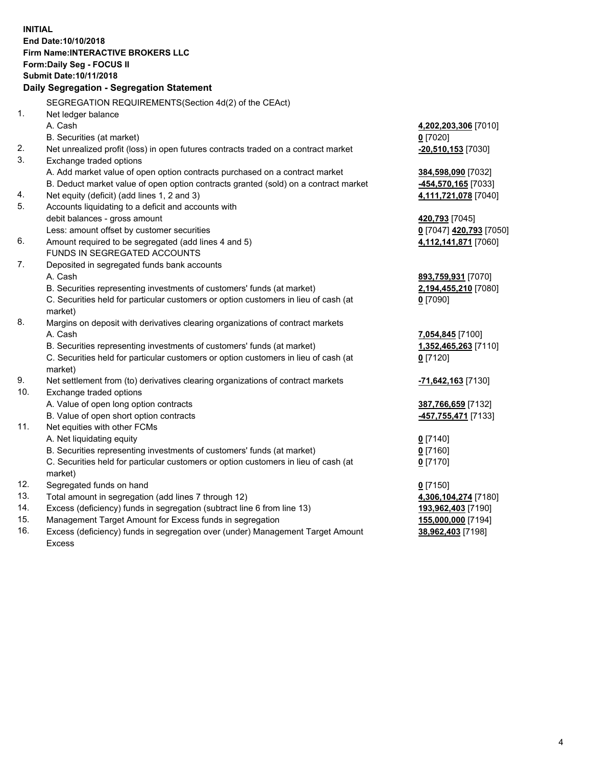**INITIAL End Date:10/10/2018 Firm Name:INTERACTIVE BROKERS LLC Form:Daily Seg - FOCUS II Submit Date:10/11/2018 Daily Segregation - Segregation Statement** SEGREGATION REQUIREMENTS(Section 4d(2) of the CEAct) 1. Net ledger balance A. Cash **4,202,203,306** [7010] B. Securities (at market) **0** [7020] 2. Net unrealized profit (loss) in open futures contracts traded on a contract market **-20,510,153** [7030] 3. Exchange traded options A. Add market value of open option contracts purchased on a contract market **384,598,090** [7032] B. Deduct market value of open option contracts granted (sold) on a contract market **-454,570,165** [7033] 4. Net equity (deficit) (add lines 1, 2 and 3) **4,111,721,078** [7040] 5. Accounts liquidating to a deficit and accounts with debit balances - gross amount **420,793** [7045] Less: amount offset by customer securities **0** [7047] **420,793** [7050] 6. Amount required to be segregated (add lines 4 and 5) **4,112,141,871** [7060] FUNDS IN SEGREGATED ACCOUNTS 7. Deposited in segregated funds bank accounts A. Cash **893,759,931** [7070] B. Securities representing investments of customers' funds (at market) **2,194,455,210** [7080] C. Securities held for particular customers or option customers in lieu of cash (at market) **0** [7090] 8. Margins on deposit with derivatives clearing organizations of contract markets A. Cash **7,054,845** [7100] B. Securities representing investments of customers' funds (at market) **1,352,465,263** [7110] C. Securities held for particular customers or option customers in lieu of cash (at market) **0** [7120] 9. Net settlement from (to) derivatives clearing organizations of contract markets **-71,642,163** [7130] 10. Exchange traded options A. Value of open long option contracts **387,766,659** [7132] B. Value of open short option contracts **-457,755,471** [7133] 11. Net equities with other FCMs A. Net liquidating equity **0** [7140] B. Securities representing investments of customers' funds (at market) **0** [7160] C. Securities held for particular customers or option customers in lieu of cash (at market) **0** [7170] 12. Segregated funds on hand **0** [7150] 13. Total amount in segregation (add lines 7 through 12) **4,306,104,274** [7180] 14. Excess (deficiency) funds in segregation (subtract line 6 from line 13) **193,962,403** [7190] 15. Management Target Amount for Excess funds in segregation **155,000,000** [7194]

16. Excess (deficiency) funds in segregation over (under) Management Target Amount Excess

**38,962,403** [7198]